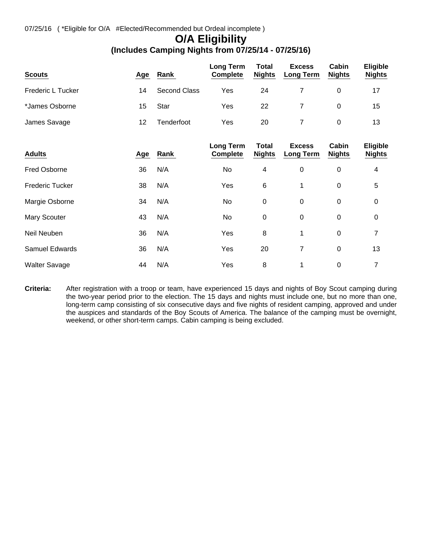## **O/A Eligibility**

## **(Includes Camping Nights from 07/25/14 - 07/25/16)**

| <b>Scouts</b>          | <u>Age</u> | Rank                | <b>Long Term</b><br><b>Complete</b> | <b>Total</b><br><b>Nights</b> | <b>Excess</b><br><b>Long Term</b> | Cabin<br><b>Nights</b> | <b>Eligible</b><br><b>Nights</b> |
|------------------------|------------|---------------------|-------------------------------------|-------------------------------|-----------------------------------|------------------------|----------------------------------|
| Frederic L Tucker      | 14         | <b>Second Class</b> | Yes                                 | 24                            | 7                                 | $\mathbf 0$            | 17                               |
| *James Osborne         | 15         | Star                | Yes                                 | 22                            | 7                                 | 0                      | 15                               |
| James Savage           | 12         | Tenderfoot          | Yes                                 | 20                            | 7                                 | $\boldsymbol{0}$       | 13                               |
| <b>Adults</b>          | <u>Age</u> | Rank                | <b>Long Term</b><br><b>Complete</b> | <b>Total</b><br><b>Nights</b> | <b>Excess</b><br><b>Long Term</b> | Cabin<br><b>Nights</b> | <b>Eligible</b><br><b>Nights</b> |
| Fred Osborne           | 36         | N/A                 | No                                  | 4                             | 0                                 | $\mathbf 0$            | 4                                |
| <b>Frederic Tucker</b> | 38         | N/A                 | Yes                                 | 6                             | 1                                 | 0                      | 5                                |
| Margie Osborne         | 34         | N/A                 | No                                  | 0                             | $\mathbf 0$                       | 0                      | 0                                |
| Mary Scouter           | 43         | N/A                 | No                                  | $\boldsymbol{0}$              | $\pmb{0}$                         | $\mathbf 0$            | $\mathbf 0$                      |
| Neil Neuben            | 36         | N/A                 | Yes                                 | 8                             | 1                                 | $\mathbf 0$            | 7                                |
| <b>Samuel Edwards</b>  | 36         | N/A                 | Yes                                 | 20                            | 7                                 | 0                      | 13                               |
| <b>Walter Savage</b>   | 44         | N/A                 | Yes                                 | 8                             | 1                                 | 0                      | 7                                |

**Criteria:** After registration with a troop or team, have experienced 15 days and nights of Boy Scout camping during the two-year period prior to the election. The 15 days and nights must include one, but no more than one, long-term camp consisting of six consecutive days and five nights of resident camping, approved and under the auspices and standards of the Boy Scouts of America. The balance of the camping must be overnight, weekend, or other short-term camps. Cabin camping is being excluded.